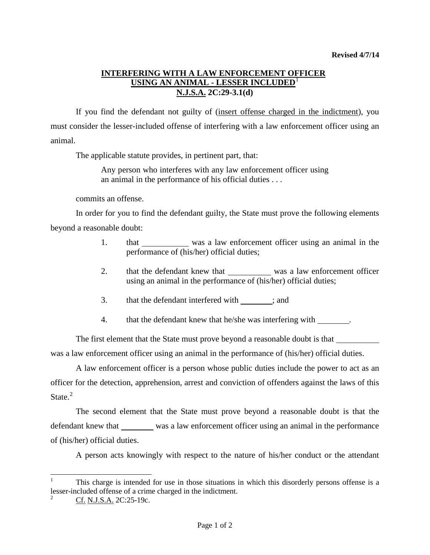## **INTERFERING WITH A LAW ENFORCEMENT OFFICER USING AN ANIMAL - LESSER INCLUDED**[1](#page-0-0) **N.J.S.A. 2C:29-3.1(d)**

If you find the defendant not guilty of (insert offense charged in the indictment), you must consider the lesser-included offense of interfering with a law enforcement officer using an animal.

The applicable statute provides, in pertinent part, that:

Any person who interferes with any law enforcement officer using an animal in the performance of his official duties . . .

commits an offense.

In order for you to find the defendant guilty, the State must prove the following elements beyond a reasonable doubt:

- 1. that was a law enforcement officer using an animal in the performance of (his/her) official duties;
- 2. that the defendant knew that was a law enforcement officer using an animal in the performance of (his/her) official duties;
- 3. that the defendant interfered with ; and
- 4. that the defendant knew that he/she was interfering with .

The first element that the State must prove beyond a reasonable doubt is that was a law enforcement officer using an animal in the performance of (his/her) official duties.

A law enforcement officer is a person whose public duties include the power to act as an officer for the detection, apprehension, arrest and conviction of offenders against the laws of this State.<sup>[2](#page-0-1)</sup>

The second element that the State must prove beyond a reasonable doubt is that the defendant knew that was a law enforcement officer using an animal in the performance of (his/her) official duties.

A person acts knowingly with respect to the nature of his/her conduct or the attendant

<span id="page-0-0"></span> <sup>1</sup> This charge is intended for use in those situations in which this disorderly persons offense is a lesser-included offense of a crime charged in the indictment.

<span id="page-0-1"></span>Cf. N.J.S.A. 2C:25-19c.